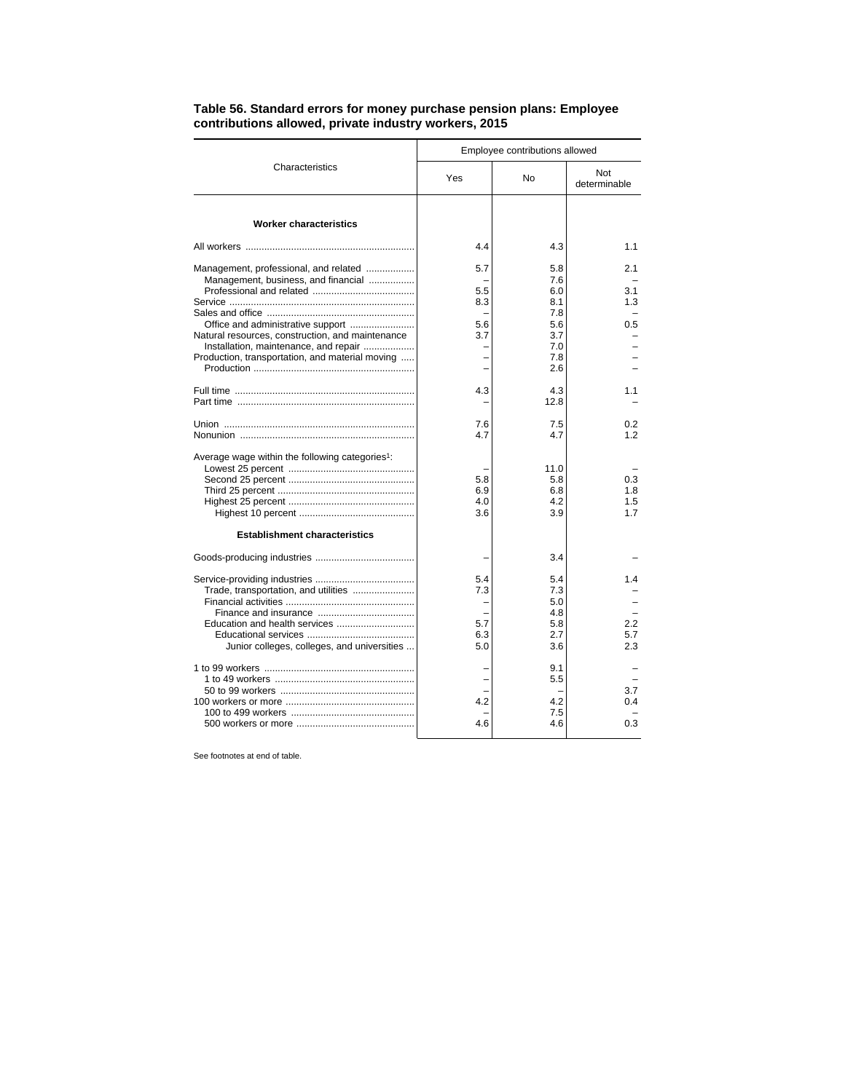|                                                                                                                                              | Employee contributions allowed  |                                               |                          |
|----------------------------------------------------------------------------------------------------------------------------------------------|---------------------------------|-----------------------------------------------|--------------------------|
| Characteristics                                                                                                                              | Yes                             | No                                            | Not<br>determinable      |
| <b>Worker characteristics</b>                                                                                                                |                                 |                                               |                          |
|                                                                                                                                              | 4.4                             | 4.3                                           | 1.1                      |
| Management, professional, and related<br>Management, business, and financial                                                                 | 5.7<br>5.5<br>8.3               | 5.8<br>7.6<br>6.0<br>8.1                      | 2.1<br>3.1<br>1.3        |
| Natural resources, construction, and maintenance<br>Installation, maintenance, and repair<br>Production, transportation, and material moving | 5.6<br>3.7                      | 7.8<br>5.6<br>3.7<br>7.0<br>7.8<br>2.6        | 0.5                      |
|                                                                                                                                              | 4.3                             | 4.3<br>12.8                                   | 1.1                      |
|                                                                                                                                              | 7.6<br>4.7                      | 7.5<br>4.7                                    | 0.2<br>1.2               |
| Average wage within the following categories <sup>1</sup> :<br><b>Establishment characteristics</b>                                          | 5.8<br>6.9<br>4.0<br>3.6        | 11.0<br>5.8<br>6.8<br>4.2<br>3.9              | 0.3<br>1.8<br>1.5<br>17  |
|                                                                                                                                              |                                 | 3.4                                           |                          |
| Trade, transportation, and utilities<br>Junior colleges, colleges, and universities                                                          | 5.4<br>7.3<br>5.7<br>6.3<br>5.0 | 5.4<br>7.3<br>5.0<br>4.8<br>5.8<br>2.7<br>3.6 | 1.4<br>2.2<br>5.7<br>2.3 |
|                                                                                                                                              | 4.2<br>4.6                      | 9.1<br>5.5<br>4.2<br>7.5<br>4.6               | 3.7<br>0.4<br>0.3        |

## **Table 56. Standard errors for money purchase pension plans: Employee contributions allowed, private industry workers, 2015**

See footnotes at end of table.